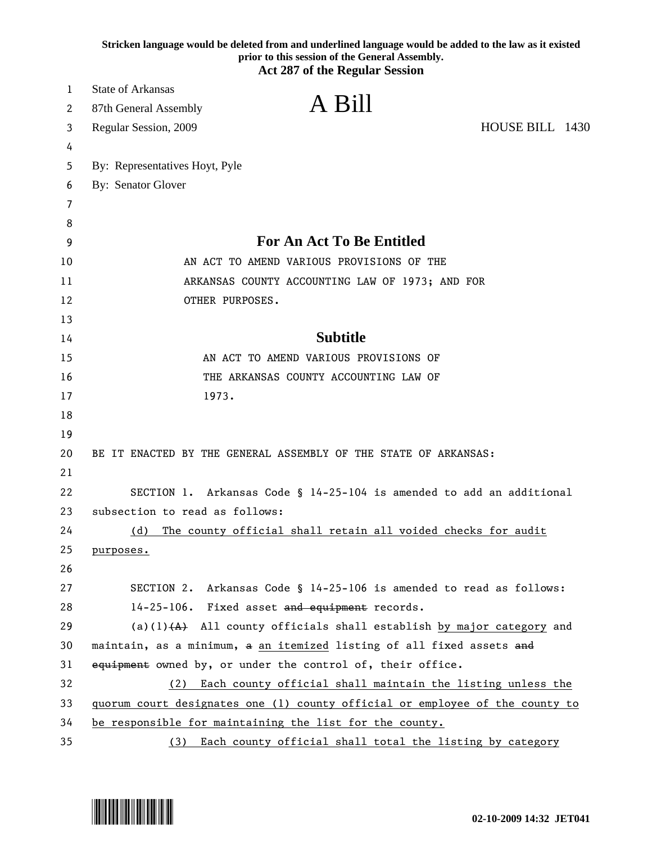|    | Stricken language would be deleted from and underlined language would be added to the law as it existed<br>prior to this session of the General Assembly.<br><b>Act 287 of the Regular Session</b> |
|----|----------------------------------------------------------------------------------------------------------------------------------------------------------------------------------------------------|
| 1  | <b>State of Arkansas</b>                                                                                                                                                                           |
| 2  | A Bill<br>87th General Assembly                                                                                                                                                                    |
| 3  | HOUSE BILL 1430<br>Regular Session, 2009                                                                                                                                                           |
| 4  |                                                                                                                                                                                                    |
| 5  | By: Representatives Hoyt, Pyle                                                                                                                                                                     |
| 6  | By: Senator Glover                                                                                                                                                                                 |
| 7  |                                                                                                                                                                                                    |
| 8  |                                                                                                                                                                                                    |
| 9  | For An Act To Be Entitled                                                                                                                                                                          |
| 10 | AN ACT TO AMEND VARIOUS PROVISIONS OF THE                                                                                                                                                          |
| 11 | ARKANSAS COUNTY ACCOUNTING LAW OF 1973; AND FOR                                                                                                                                                    |
| 12 | OTHER PURPOSES.                                                                                                                                                                                    |
| 13 |                                                                                                                                                                                                    |
| 14 | <b>Subtitle</b>                                                                                                                                                                                    |
| 15 | AN ACT TO AMEND VARIOUS PROVISIONS OF                                                                                                                                                              |
| 16 | THE ARKANSAS COUNTY ACCOUNTING LAW OF                                                                                                                                                              |
| 17 | 1973.                                                                                                                                                                                              |
| 18 |                                                                                                                                                                                                    |
| 19 |                                                                                                                                                                                                    |
| 20 | BE IT ENACTED BY THE GENERAL ASSEMBLY OF THE STATE OF ARKANSAS:                                                                                                                                    |
| 21 |                                                                                                                                                                                                    |
| 22 | SECTION 1. Arkansas Code § 14-25-104 is amended to add an additional                                                                                                                               |
| 23 | subsection to read as follows:                                                                                                                                                                     |
| 24 | The county official shall retain all voided checks for audit<br>(d)                                                                                                                                |
| 25 | purposes.                                                                                                                                                                                          |
| 26 |                                                                                                                                                                                                    |
| 27 | SECTION 2. Arkansas Code § 14-25-106 is amended to read as follows:                                                                                                                                |
| 28 | 14-25-106. Fixed asset and equipment records.                                                                                                                                                      |
| 29 | (a)(1) $(A)$ All county officials shall establish by major category and                                                                                                                            |
| 30 | maintain, as a minimum, a an itemized listing of all fixed assets and                                                                                                                              |
| 31 | equipment owned by, or under the control of, their office.                                                                                                                                         |
| 32 | (2) Each county official shall maintain the listing unless the                                                                                                                                     |
| 33 | quorum court designates one (1) county official or employee of the county to                                                                                                                       |
| 34 | be responsible for maintaining the list for the county.                                                                                                                                            |
| 35 | Each county official shall total the listing by category<br>(3)                                                                                                                                    |

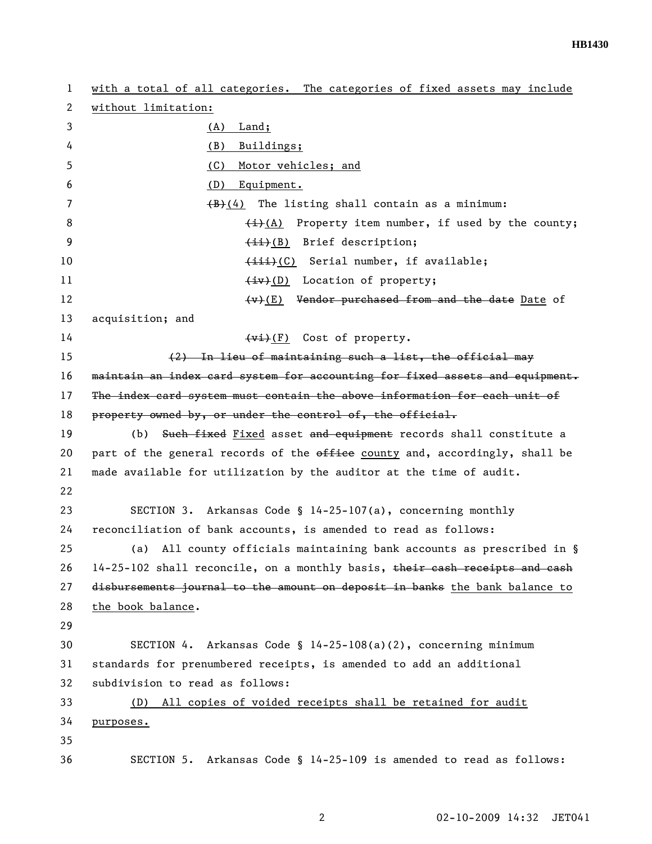| 1  | with a total of all categories. The categories of fixed assets may include   |
|----|------------------------------------------------------------------------------|
| 2  | without limitation:                                                          |
| 3  | Land;<br>(A)                                                                 |
| 4  | Buildings;<br>(B)                                                            |
| 5  | (C)<br>Motor vehicles; and                                                   |
| 6  | (D)<br>Equipment.                                                            |
| 7  | $(B)$ (4) The listing shall contain as a minimum:                            |
| 8  | $\frac{1}{i}(A)$ Property item number, if used by the county;                |
| 9  | (ii)(B) Brief description;                                                   |
| 10 | (iii)(C) Serial number, if available;                                        |
| 11 | $\overline{(+i\cdot)}$ (D) Location of property;                             |
| 12 | $(v)$ (E) Vendor purchased from and the date Date of                         |
| 13 | acquisition; and                                                             |
| 14 | $(v_i)(F)$ Cost of property.                                                 |
| 15 | (2) In lieu of maintaining such a list, the official may                     |
| 16 | maintain an index card system for accounting for fixed assets and equipment. |
| 17 | The index card system must contain the above information for each unit of    |
| 18 | property owned by, or under the control of, the official.                    |
| 19 | (b) Such fixed Fixed asset and equipment records shall constitute a          |
| 20 | part of the general records of the office county and, accordingly, shall be  |
| 21 | made available for utilization by the auditor at the time of audit.          |
| 22 |                                                                              |
| 23 | SECTION 3. Arkansas Code § $14-25-107(a)$ , concerning monthly               |
| 24 | reconciliation of bank accounts, is amended to read as follows:              |
| 25 | All county officials maintaining bank accounts as prescribed in §<br>(a)     |
| 26 | 14-25-102 shall reconcile, on a monthly basis, their cash receipts and cash  |
| 27 | disbursements journal to the amount on deposit in banks the bank balance to  |
| 28 | the book balance.                                                            |
| 29 |                                                                              |
| 30 | Arkansas Code § 14-25-108(a)(2), concerning minimum<br>SECTION 4.            |
| 31 | standards for prenumbered receipts, is amended to add an additional          |
| 32 | subdivision to read as follows:                                              |
| 33 | All copies of voided receipts shall be retained for audit<br>(D)             |
| 34 | purposes.                                                                    |
| 35 |                                                                              |
| 36 | SECTION 5. Arkansas Code § 14-25-109 is amended to read as follows:          |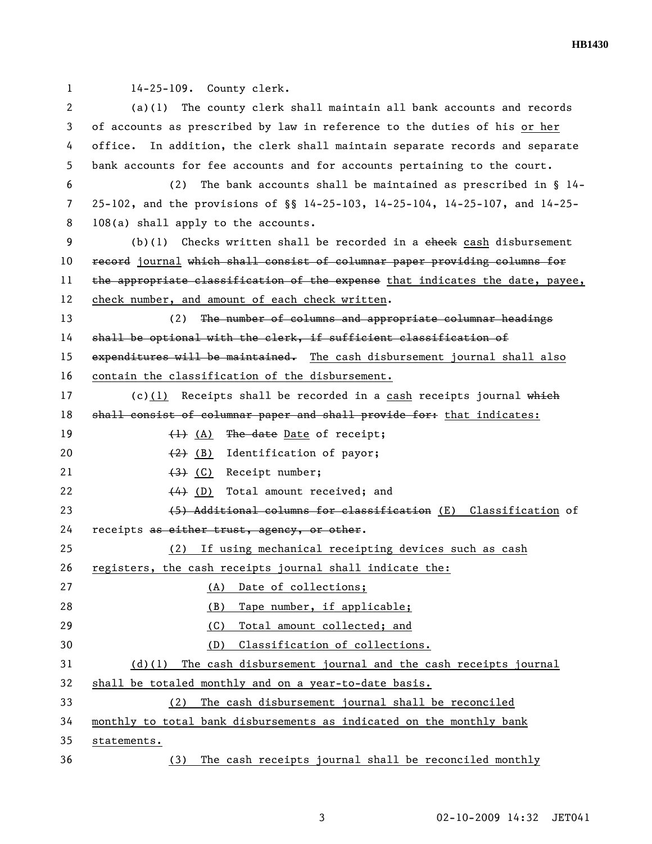1 14-25-109. County clerk.

2 (a)(1) The county clerk shall maintain all bank accounts and records 3 of accounts as prescribed by law in reference to the duties of his or her 4 office. In addition, the clerk shall maintain separate records and separate 5 bank accounts for fee accounts and for accounts pertaining to the court.

6 (2) The bank accounts shall be maintained as prescribed in § 14- 7 25-102, and the provisions of §§ 14-25-103, 14-25-104, 14-25-107, and 14-25- 8 108(a) shall apply to the accounts.

9 (b)(1) Checks written shall be recorded in a check cash disbursement 10 record journal which shall consist of columnar paper providing columns for 11 the appropriate classification of the expense that indicates the date, payee, 12 check number, and amount of each check written.

13 (2) The number of columns and appropriate columnar headings 14 shall be optional with the clerk, if sufficient classification of 15 expenditures will be maintained. The cash disbursement journal shall also 16 contain the classification of the disbursement.

17 (c)(1) Receipts shall be recorded in a cash receipts journal which 18 shall consist of columnar paper and shall provide for: that indicates: 19 (1) (A) The date Date of receipt;

20 (2) (B) Identification of payor;

21  $(3)$  (C) Receipt number;

22 (4) (D) Total amount received; and

23 (5) Additional columns for classification (E) Classification of 24 receipts as either trust, ageney, or other.

25 (2) If using mechanical receipting devices such as cash 26 registers, the cash receipts journal shall indicate the: 27 (A) Date of collections; 28 (B) Tape number, if applicable; 29 (C) Total amount collected; and 30 (D) Classification of collections. 31 (d)(1) The cash disbursement journal and the cash receipts journal

32 shall be totaled monthly and on a year-to-date basis.

33 (2) The cash disbursement journal shall be reconciled

34 monthly to total bank disbursements as indicated on the monthly bank

35 statements.

36 (3) The cash receipts journal shall be reconciled monthly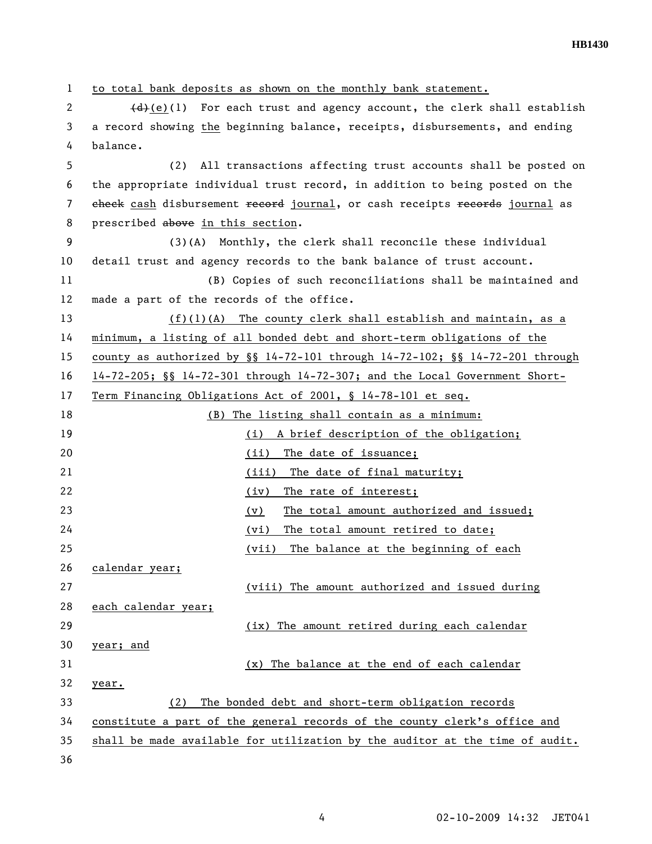1 to total bank deposits as shown on the monthly bank statement. 2  $\left(4\right)(1)$  For each trust and agency account, the clerk shall establish 3 a record showing the beginning balance, receipts, disbursements, and ending 4 balance. 5 (2) All transactions affecting trust accounts shall be posted on 6 the appropriate individual trust record, in addition to being posted on the 7 check cash disbursement record journal, or cash receipts records journal as 8 prescribed above in this section. 9 (3)(A) Monthly, the clerk shall reconcile these individual 10 detail trust and agency records to the bank balance of trust account. 11 (B) Copies of such reconciliations shall be maintained and 12 made a part of the records of the office. 13 (f)(1)(A) The county clerk shall establish and maintain, as a 14 minimum, a listing of all bonded debt and short-term obligations of the 15 county as authorized by §§ 14-72-101 through 14-72-102; §§ 14-72-201 through 16 14-72-205; §§ 14-72-301 through 14-72-307; and the Local Government Short-17 Term Financing Obligations Act of 2001, § 14-78-101 et seq. 18 (B) The listing shall contain as a minimum: 19 (i) A brief description of the obligation; 20 (ii) The date of issuance; 21 (iii) The date of final maturity; 22 (iv) The rate of interest; 23 (v) The total amount authorized and issued; 24 (vi) The total amount retired to date; 25 (vii) The balance at the beginning of each 26 calendar year; 27 (viii) The amount authorized and issued during 28 each calendar year; 29 (ix) The amount retired during each calendar 30 year; and 31 (x) The balance at the end of each calendar 32 year. 33 (2) The bonded debt and short-term obligation records 34 constitute a part of the general records of the county clerk's office and 35 shall be made available for utilization by the auditor at the time of audit. 36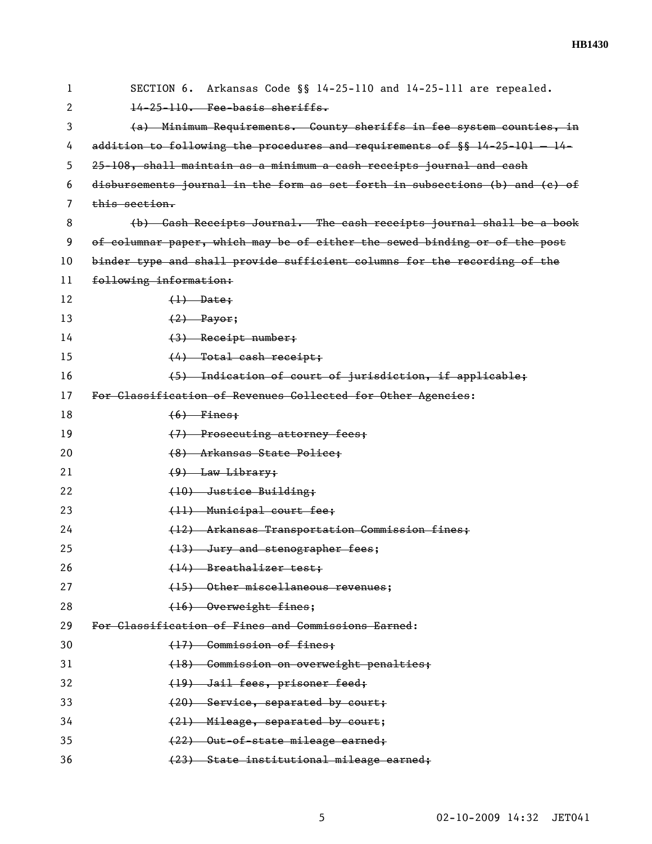| 1  | SECTION 6. Arkansas Code §§ 14-25-110 and 14-25-111 are repealed.             |
|----|-------------------------------------------------------------------------------|
| 2  | 14-25-110. Fee-basis sheriffs.                                                |
| 3  | (a) Minimum Requirements. County sheriffs in fee system counties, in          |
| 4  | addition to following the procedures and requirements of $\S$ 14-25-101 - 14- |
| 5  | 25-108, shall maintain as a minimum a cash receipts journal and cash          |
| 6  | disbursements journal in the form as set forth in subsections (b) and (c) of  |
| 7  | this section.                                                                 |
| 8  | (b) Cash Receipts Journal. The eash receipts journal shall be a book          |
| 9  | of columnar paper, which may be of either the sewed binding or of the post    |
| 10 | binder type and shall provide sufficient columns for the recording of the     |
| 11 | following information:                                                        |
| 12 | $\left\langle \downarrow \right\rangle$ Date;                                 |
| 13 | $(2)$ Payor;                                                                  |
| 14 | $(3)$ Receipt number;                                                         |
| 15 | $(4)$ Total cash receipt;                                                     |
| 16 | (5) Indication of court of jurisdiction, if applicable;                       |
| 17 | For Classification of Revenues Collected for Other Agencies:                  |
| 18 | $(6)$ Fines;                                                                  |
| 19 | (7) Prosecuting attorney fees;                                                |
| 20 | (8) Arkansas State Police;                                                    |
| 21 | $(9)$ Law Library;                                                            |
| 22 | (10) Justice Building;                                                        |
| 23 | (11) Municipal court fee;                                                     |
| 24 | (12) Arkansas Transportation Commission fines;                                |
| 25 | (13) Jury and stenographer fees;                                              |
| 26 | (14) Breathalizer test;                                                       |
| 27 | (15) Other miscellaneous revenues;                                            |
| 28 | (16) Overweight fines;                                                        |
| 29 | For Classification of Fines and Commissions Earned:                           |
| 30 | (17) Commission of fines;                                                     |
| 31 | (18) Commission on overweight penalties;                                      |
| 32 | (19) Jail fees, prisoner feed;                                                |
| 33 | (20) Service, separated by court;                                             |
| 34 | (21) Mileage, separated by court;                                             |
| 35 | (22) Out-of-state mileage earned;                                             |
| 36 | (23) State institutional mileage earned;                                      |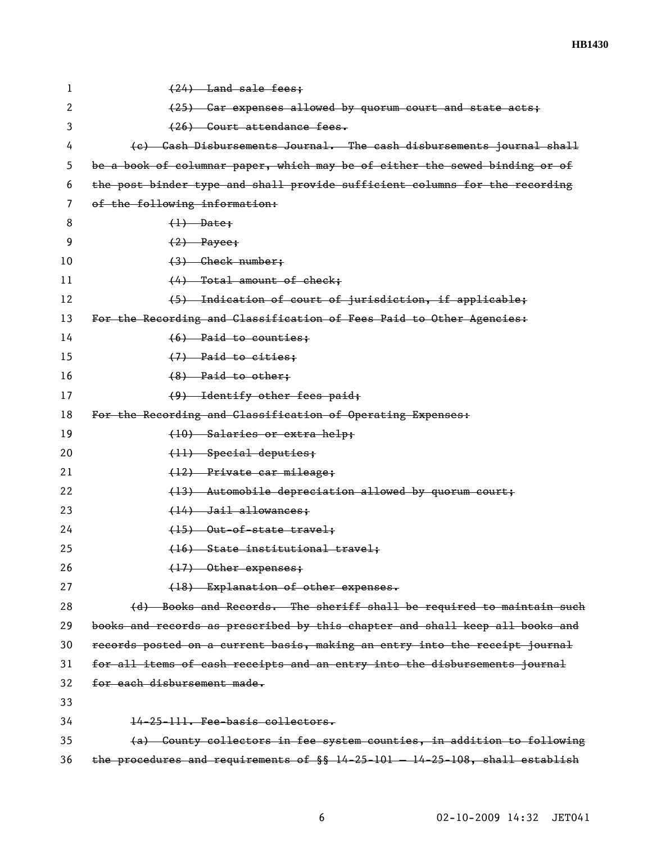| 1  | (24) Land sale fees;                                                           |
|----|--------------------------------------------------------------------------------|
| 2  | (25) Car expenses allowed by quorum court and state acts;                      |
| 3  | (26) Court attendance fees.                                                    |
| 4  | (c) Cash Disbursements Journal. The cash disbursements journal shall           |
| 5  | be a book of columnar paper, which may be of either the sewed binding or of    |
| 6  | the post binder type and shall provide sufficient columns for the recording    |
| 7  | of the following information:                                                  |
| 8  | $(1)$ Date:                                                                    |
| 9  | $(2)$ Payee;                                                                   |
| 10 | $(3)$ Check number;                                                            |
| 11 | (4) Total amount of check;                                                     |
| 12 | (5) Indication of court of jurisdiction, if applicable;                        |
| 13 | For the Recording and Classification of Fees Paid to Other Agencies:           |
| 14 | $(6)$ Paid to counties;                                                        |
| 15 | $(7)$ Paid to cities;                                                          |
| 16 | $(8)$ Paid to other:                                                           |
| 17 | (9) Identify other fees paid;                                                  |
| 18 | For the Recording and Classification of Operating Expenses:                    |
| 19 | (10) Salaries or extra help;                                                   |
| 20 | (11) Special deputies;                                                         |
| 21 | (12) Private car mileage;                                                      |
| 22 | (13) Automobile depreciation allowed by quorum court;                          |
| 23 | (14) Jail allowances;                                                          |
| 24 | $(15)$ Out-of-state travel;                                                    |
| 25 | (16) State institutional travel:                                               |
| 26 | (17) Other expenses;                                                           |
| 27 | (18) Explanation of other expenses.                                            |
| 28 | (d) Books and Records. The sheriff shall be required to maintain such          |
| 29 | books and records as prescribed by this chapter and shall keep all books and   |
| 30 | records posted on a current basis, making an entry into the receipt journal    |
| 31 | for all items of cash receipts and an entry into the disbursements journal     |
| 32 | for each disbursement made.                                                    |
| 33 |                                                                                |
| 34 | 14-25-111. Fee-basis collectors.                                               |
| 35 | (a) County collectors in fee system counties, in addition to following         |
| 36 | the procedures and requirements of $\S$ 14-25-101 - 14-25-108, shall establish |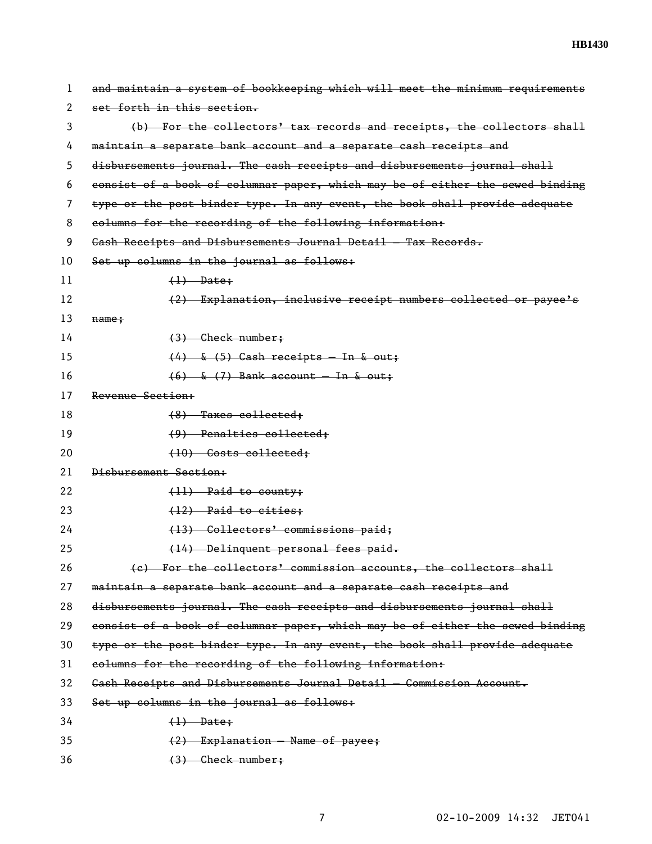| 1  | and maintain a system of bookkeeping which will meet the minimum requirements |
|----|-------------------------------------------------------------------------------|
| 2  | set forth in this section.                                                    |
| 3  | (b) For the collectors' tax records and receipts, the collectors shall        |
| 4  | maintain a separate bank account and a separate cash receipts and             |
| 5  | disbursements journal. The cash receipts and disbursements journal shall      |
| 6  | consist of a book of columnar paper, which may be of either the sewed binding |
| 7  | type or the post binder type. In any event, the book shall provide adequate   |
| 8  | columns for the recording of the following information:                       |
| 9  | Gash Receipts and Disbursements Journal Detail - Tax Records.                 |
| 10 | Set up columns in the journal as follows:                                     |
| 11 | $(1)$ Date;                                                                   |
| 12 | (2) Explanation, inclusive receipt numbers collected or payee's               |
| 13 | $name +$                                                                      |
| 14 | $(3)$ Check number;                                                           |
| 15 | $(4)$ & $(5)$ Cash receipts - In & out;                                       |
| 16 | $(6)$ & $(7)$ Bank account – In & out;                                        |
| 17 | Revenue Section:                                                              |
| 18 | $(8)$ Taxes collected;                                                        |
| 19 | $(9)$ Penalties collected;                                                    |
| 20 | (10) Costs collected;                                                         |
| 21 | Disbursement Section:                                                         |
| 22 | $(11)$ Paid to county;                                                        |
| 23 | $(12)$ Paid to cities;                                                        |
| 24 | (13) Collectors' commissions paid;                                            |
| 25 | (14) Delinquent personal fees paid.                                           |
| 26 | (e) For the collectors' commission accounts, the collectors shall             |
| 27 | maintain a separate bank account and a separate cash receipts and             |
| 28 | disbursements journal. The eash receipts and disbursements journal shall      |
| 29 | consist of a book of columnar paper, which may be of either the sewed binding |
| 30 | type or the post binder type. In any event, the book shall provide adequate   |
| 31 | columns for the recording of the following information:                       |
| 32 | Gash Receipts and Disbursements Journal Detail - Commission Account.          |
| 33 | Set up columns in the journal as follows:                                     |
| 34 | $(1)$ Date;                                                                   |
| 35 | (2) Explanation - Name of payee;                                              |
| 36 | $(3)$ Check number;                                                           |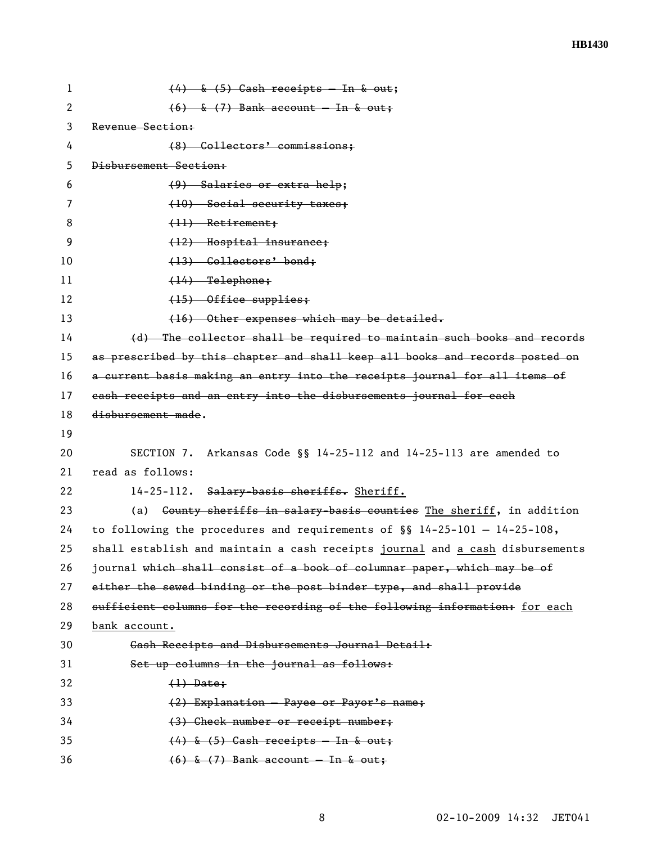**HB1430** 

| 1  | $(4)$ & $(5)$ Cash receipts - In & out;                                          |
|----|----------------------------------------------------------------------------------|
| 2  | $(6)$ & $(7)$ Bank account – In & out;                                           |
| 3  | Revenue Section:                                                                 |
| 4  | (8) Collectors' commissions;                                                     |
| 5  | Disbursement Section:                                                            |
| 6  | $(9)$ Salaries or extra help;                                                    |
| 7  | (10) Social security taxes;                                                      |
| 8  | $(11)$ Retirement;                                                               |
| 9  | (12) Hospital insurance;                                                         |
| 10 | (13) Collectors' bond;                                                           |
| 11 | $(14)$ Telephone;                                                                |
| 12 | (15) Office supplies;                                                            |
| 13 | (16) Other expenses which may be detailed.                                       |
| 14 | (d) The collector shall be required to maintain such books and records           |
| 15 | as prescribed by this chapter and shall keep all books and records posted on     |
| 16 | a current basis making an entry into the receipts journal for all items of       |
| 17 | eash receipts and an entry into the disbursements journal for each               |
| 18 | disbursement made.                                                               |
| 19 |                                                                                  |
| 20 | Arkansas Code §§ 14-25-112 and 14-25-113 are amended to<br>SECTION 7.            |
| 21 | read as follows:                                                                 |
| 22 | 14-25-112. Salary-basis sheriffs. Sheriff.                                       |
| 23 | (a) <del>County sheriffs in salary basis counties</del> The sheriff, in addition |
| 24 | to following the procedures and requirements of $\S$ 14-25-101 - 14-25-108,      |
| 25 | shall establish and maintain a cash receipts journal and a cash disbursements    |
| 26 | journal which shall consist of a book of columnar paper, which may be of         |
| 27 | either the sewed binding or the post binder type, and shall provide              |
| 28 | sufficient columns for the recording of the following information: for each      |
| 29 | bank account.                                                                    |
| 30 | Gash Receipts and Disbursements Journal Detail:                                  |
| 31 | Set up columns in the journal as follows:                                        |
| 32 | $(1)$ Date;                                                                      |
| 33 | (2) Explanation - Payee or Payor's name;                                         |
| 34 |                                                                                  |
|    | (3) Check number or receipt number;                                              |
| 35 | $(4)$ & $(5)$ Cash receipts - In & out;                                          |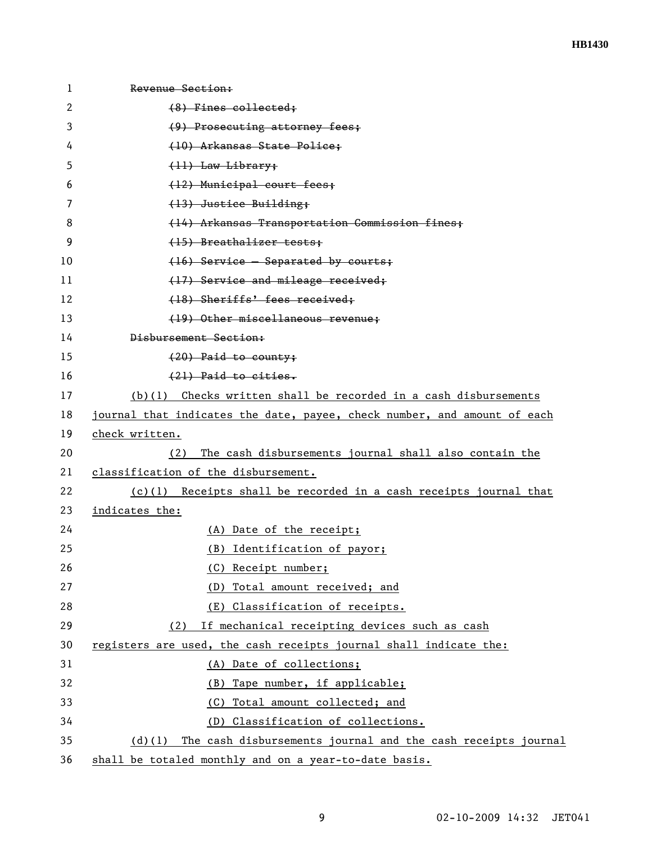| $\mathbf{1}$ | Revenue Section:                                                          |
|--------------|---------------------------------------------------------------------------|
| 2            | (8) Fines collected;                                                      |
| 3            | (9) Prosecuting attorney fees;                                            |
| 4            | (10) Arkansas State Police:                                               |
| 5            | (11) Law Library:                                                         |
| 6            | (12) Municipal court fees;                                                |
| 7            | (13) Justice Building;                                                    |
| 8            | (14) Arkansas Transportation Commission fines;                            |
| 9            | (15) Breathalizer tests:                                                  |
| 10           | (16) Service - Separated by courts;                                       |
| 11           | (17) Service and mileage received;                                        |
| 12           | (18) Sheriffs' fees received;                                             |
| 13           | (19) Other miscellaneous revenue:                                         |
| 14           | Disbursement Section:                                                     |
| 15           | $(20)$ Paid to county;                                                    |
| 16           | (21) Paid to cities.                                                      |
| 17           | $(b)(1)$ Checks written shall be recorded in a cash disbursements         |
| 18           | journal that indicates the date, payee, check number, and amount of each  |
| 19           | check written.                                                            |
| 20           | The cash disbursements journal shall also contain the<br>(2)              |
| 21           | classification of the disbursement.                                       |
| 22           | $(c)(1)$ Receipts shall be recorded in a cash receipts journal that       |
| 23           | indicates the:                                                            |
| 24           | (A) Date of the receipt;                                                  |
| 25           | (B) Identification of payor;                                              |
| 26           | (C) Receipt number;                                                       |
| 27           | (D) Total amount received; and                                            |
| 28           | (E) Classification of receipts.                                           |
| 29           | If mechanical receipting devices such as cash<br>(2)                      |
| 30           | registers are used, the cash receipts journal shall indicate the:         |
| 31           | (A) Date of collections;                                                  |
| 32           | (B) Tape number, if applicable;                                           |
| 33           | Total amount collected; and<br>(C)                                        |
| 34           | (D) Classification of collections.                                        |
| 35           | The cash disbursements journal and the cash receipts journal<br>$(d)$ (1) |
| 36           | shall be totaled monthly and on a year-to-date basis.                     |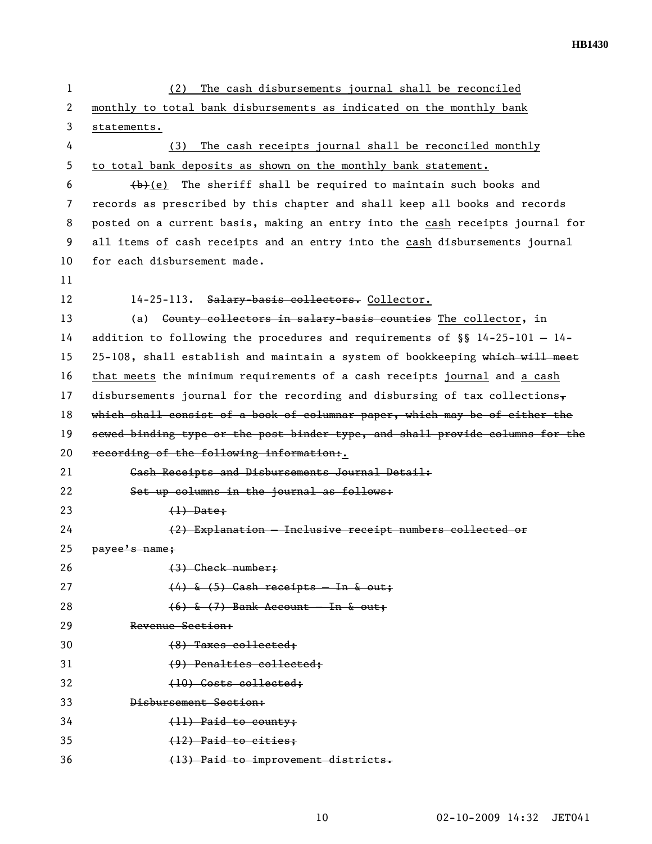| 1  | The cash disbursements journal shall be reconciled<br>(2)                      |
|----|--------------------------------------------------------------------------------|
| 2  | monthly to total bank disbursements as indicated on the monthly bank           |
| 3  | statements.                                                                    |
| 4  | The cash receipts journal shall be reconciled monthly<br>(3)                   |
| 5  | to total bank deposits as shown on the monthly bank statement.                 |
| 6  | $\leftrightarrow$ (e) The sheriff shall be required to maintain such books and |
| 7  | records as prescribed by this chapter and shall keep all books and records     |
| 8  | posted on a current basis, making an entry into the cash receipts journal for  |
| 9  | all items of cash receipts and an entry into the cash disbursements journal    |
| 10 | for each disbursement made.                                                    |
| 11 |                                                                                |
| 12 | 14-25-113. Salary-basis collectors. Collector.                                 |
| 13 | Gounty collectors in salary-basis counties The collector, in<br>(a)            |
| 14 | addition to following the procedures and requirements of $\S$ 14-25-101 - 14-  |
| 15 | 25-108, shall establish and maintain a system of bookkeeping which will meet   |
| 16 | that meets the minimum requirements of a cash receipts journal and a cash      |
| 17 | disbursements journal for the recording and disbursing of tax collections,     |
| 18 | which shall consist of a book of columnar paper, which may be of either the    |
| 19 | sewed binding type or the post binder type, and shall provide columns for the  |
| 20 | recording of the following information:.                                       |
| 21 | Gash Receipts and Disbursements Journal Detail:                                |
| 22 | Set up columns in the journal as follows:                                      |
| 23 | $(1)$ Date;                                                                    |
| 24 | (2) Explanation - Inclusive receipt numbers collected or                       |
| 25 | payee's name;                                                                  |
| 26 | $(3)$ Check number;                                                            |
| 27 | $(4)$ & $(5)$ Cash receipts - In & out;                                        |
| 28 | $(6)$ & $(7)$ Bank Account - In & out;                                         |
| 29 | Revenue Section:                                                               |
| 30 | (8) Taxes collected;                                                           |
| 31 | (9) Penalties collected:                                                       |
| 32 | (10) Costs collected;                                                          |
| 33 | Disbursement Section:                                                          |
| 34 | (11) Paid to county;                                                           |
| 35 | (12) Paid to cities;                                                           |
| 36 | (13) Paid to improvement districts.                                            |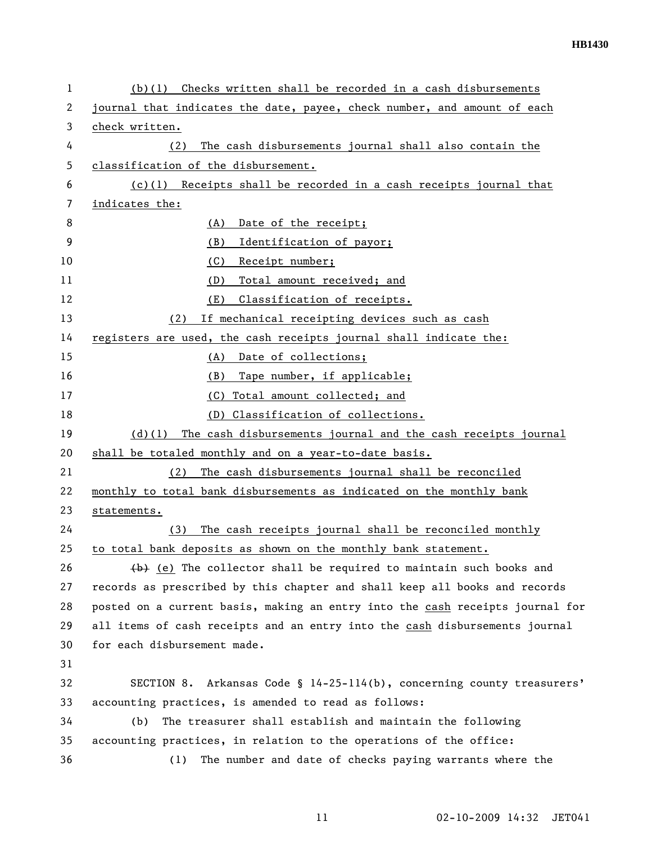| $(b)(1)$ Checks written shall be recorded in a cash disbursements                |
|----------------------------------------------------------------------------------|
| journal that indicates the date, payee, check number, and amount of each         |
| check written.                                                                   |
| The cash disbursements journal shall also contain the<br>(2)                     |
| classification of the disbursement.                                              |
| $(c)(1)$ Receipts shall be recorded in a cash receipts journal that              |
| indicates the:                                                                   |
| (A)<br>Date of the receipt;                                                      |
| (B)<br>Identification of payor;                                                  |
| (C)<br>Receipt number;                                                           |
| Total amount received; and<br>(D)                                                |
| Classification of receipts.<br>(E)                                               |
| If mechanical receipting devices such as cash<br>(2)                             |
| registers are used, the cash receipts journal shall indicate the:                |
| (A)<br>Date of collections;                                                      |
| Tape number, if applicable;<br>(B)                                               |
| (C) Total amount collected; and                                                  |
| (D) Classification of collections.                                               |
| $(d)(1)$ The cash disbursements journal and the cash receipts journal            |
| shall be totaled monthly and on a year-to-date basis.                            |
| The cash disbursements journal shall be reconciled<br>(2)                        |
| monthly to total bank disbursements as indicated on the monthly bank             |
| statements.                                                                      |
| The cash receipts journal shall be reconciled monthly<br>(3)                     |
| to total bank deposits as shown on the monthly bank statement.                   |
| $\leftrightarrow$ (e) The collector shall be required to maintain such books and |
| records as prescribed by this chapter and shall keep all books and records       |
| posted on a current basis, making an entry into the cash receipts journal for    |
| all items of cash receipts and an entry into the cash disbursements journal      |
| for each disbursement made.                                                      |
|                                                                                  |
| SECTION 8. Arkansas Code § 14-25-114(b), concerning county treasurers'           |
| accounting practices, is amended to read as follows:                             |
| The treasurer shall establish and maintain the following<br>(b)                  |
| accounting practices, in relation to the operations of the office:               |
| The number and date of checks paying warrants where the<br>(1)                   |
|                                                                                  |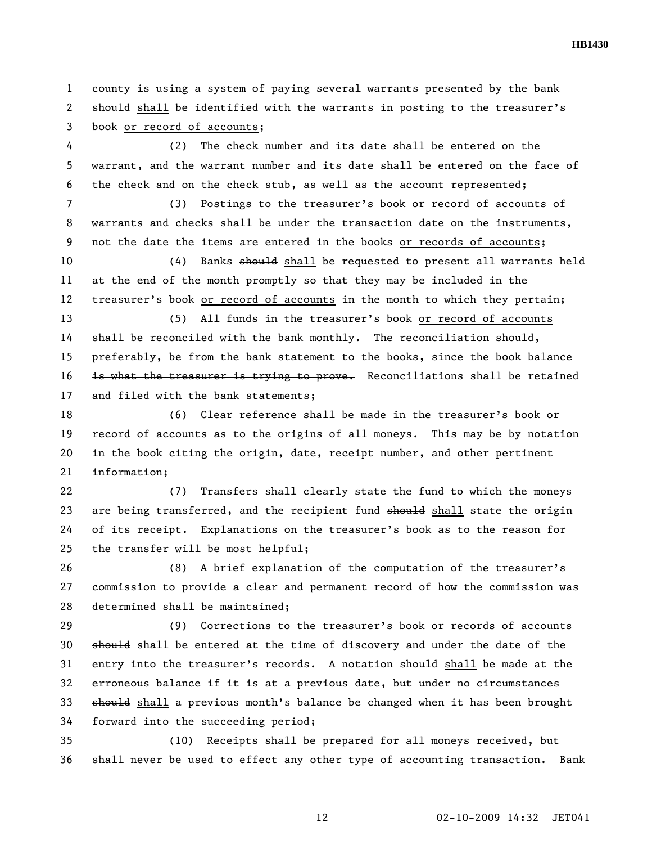1 county is using a system of paying several warrants presented by the bank 2 should shall be identified with the warrants in posting to the treasurer's 3 book or record of accounts;

4 (2) The check number and its date shall be entered on the 5 warrant, and the warrant number and its date shall be entered on the face of 6 the check and on the check stub, as well as the account represented;

7 (3) Postings to the treasurer's book or record of accounts of 8 warrants and checks shall be under the transaction date on the instruments, 9 not the date the items are entered in the books or records of accounts;

10 (4) Banks should shall be requested to present all warrants held 11 at the end of the month promptly so that they may be included in the 12 treasurer's book or record of accounts in the month to which they pertain;

13 (5) All funds in the treasurer's book or record of accounts 14 shall be reconciled with the bank monthly. The reconciliation should, 15 preferably, be from the bank statement to the books, since the book balance 16 is what the treasurer is trying to prove. Reconciliations shall be retained 17 and filed with the bank statements;

18 (6) Clear reference shall be made in the treasurer's book or 19 record of accounts as to the origins of all moneys. This may be by notation 20  $\pm$ n the book citing the origin, date, receipt number, and other pertinent 21 information;

22 (7) Transfers shall clearly state the fund to which the moneys 23 are being transferred, and the recipient fund should shall state the origin 24 of its receipt. Explanations on the treasurer's book as to the reason for 25 the transfer will be most helpful;

26 (8) A brief explanation of the computation of the treasurer's 27 commission to provide a clear and permanent record of how the commission was 28 determined shall be maintained;

29 (9) Corrections to the treasurer's book or records of accounts 30 should shall be entered at the time of discovery and under the date of the 31 entry into the treasurer's records. A notation should shall be made at the 32 erroneous balance if it is at a previous date, but under no circumstances 33 should shall a previous month's balance be changed when it has been brought 34 forward into the succeeding period;

35 (10) Receipts shall be prepared for all moneys received, but 36 shall never be used to effect any other type of accounting transaction. Bank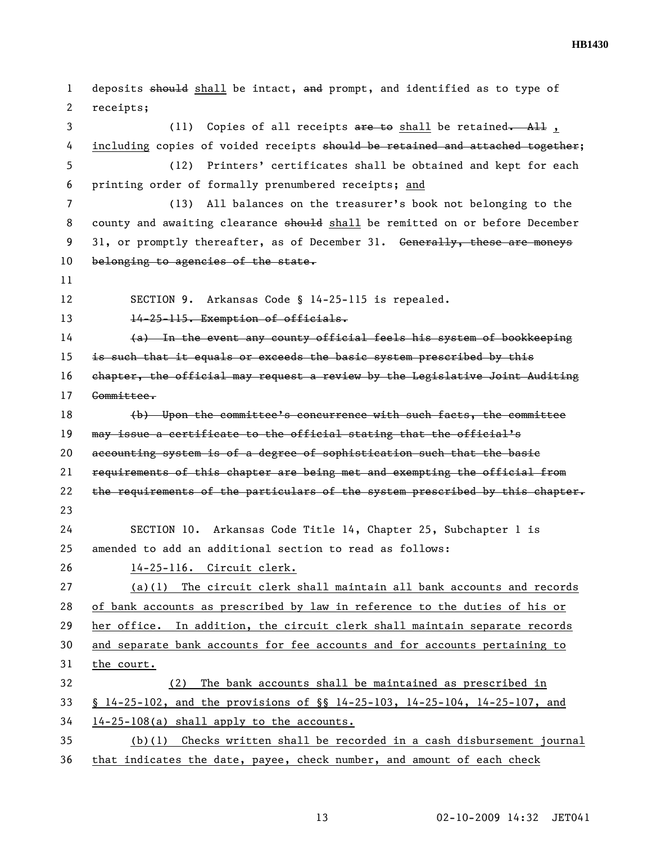**HB1430** 

| $\mathbf{1}$ | deposits should shall be intact, and prompt, and identified as to type of           |
|--------------|-------------------------------------------------------------------------------------|
| $\mathbf{2}$ | receipts;                                                                           |
| 3            | Copies of all receipts $are$ to shall be retained. All,<br>(11)                     |
| 4            | including copies of voided receipts should be retained and attached together;       |
| 5            | Printers' certificates shall be obtained and kept for each<br>(12)                  |
| 6            | printing order of formally prenumbered receipts; and                                |
| 7            | All balances on the treasurer's book not belonging to the<br>(13)                   |
| 8            | county and awaiting clearance should shall be remitted on or before December        |
| 9            | 31, or promptly thereafter, as of December 31. Generally, these are moneys          |
| 10           | belonging to agencies of the state.                                                 |
| 11           |                                                                                     |
| 12           | SECTION 9. Arkansas Code § 14-25-115 is repealed.                                   |
| 13           | 14-25-115. Exemption of officials.                                                  |
| 14           | (a) In the event any county official feels his system of bookkeeping                |
| 15           | is such that it equals or exceeds the basic system prescribed by this               |
| 16           | chapter, the official may request a review by the Legislative Joint Auditing        |
| 17           | Committee.                                                                          |
| 18           | (b) Upon the committee's concurrence with such facts, the committee                 |
| 19           | may issue a certificate to the official stating that the official's                 |
| 20           | accounting system is of a degree of sophistication such that the basie              |
| 21           | requirements of this chapter are being met and exempting the official from          |
| 22           | the requirements of the particulars of the system prescribed by this chapter.       |
| 23           |                                                                                     |
| 24           | SECTION 10. Arkansas Code Title 14, Chapter 25, Subchapter 1 is                     |
| 25           | amended to add an additional section to read as follows:                            |
| 26           | 14-25-116. Circuit clerk.                                                           |
| 27           | $(a)(1)$ The circuit clerk shall maintain all bank accounts and records             |
| 28           | of bank accounts as prescribed by law in reference to the duties of his or          |
| 29           | her office. In addition, the circuit clerk shall maintain separate records          |
| 30           | and separate bank accounts for fee accounts and for accounts pertaining to          |
| 31           | the court.                                                                          |
| 32           | The bank accounts shall be maintained as prescribed in<br>(2)                       |
| 33           | $$14-25-102$ , and the provisions of $$14-25-103$ , $14-25-104$ , $14-25-107$ , and |
| 34           | 14-25-108(a) shall apply to the accounts.                                           |
| 35           | $(b)(1)$ Checks written shall be recorded in a cash disbursement journal            |
| 36           | that indicates the date, payee, check number, and amount of each check              |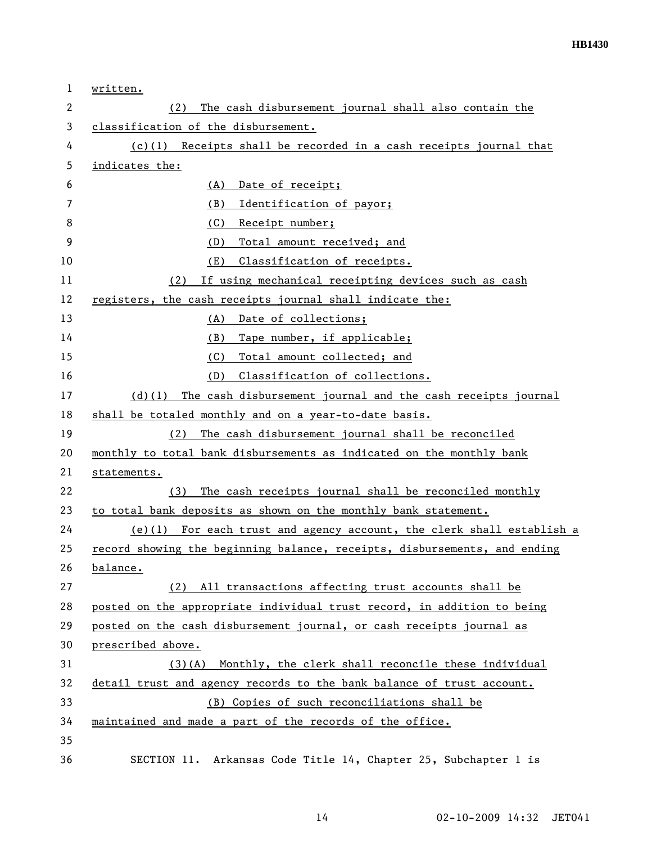| $\mathbf{1}$ | written.                                                                    |
|--------------|-----------------------------------------------------------------------------|
| 2            | The cash disbursement journal shall also contain the<br>(2)                 |
| 3            | classification of the disbursement.                                         |
| 4            | $(c)(1)$ Receipts shall be recorded in a cash receipts journal that         |
| 5            | indicates the:                                                              |
| 6            | Date of receipt;<br>(A)                                                     |
| 7            | Identification of payor;<br>(B)                                             |
| 8            | (C)<br>Receipt number;                                                      |
| 9            | Total amount received; and<br>(D)                                           |
| 10           | Classification of receipts.<br>(E)                                          |
| 11           | If using mechanical receipting devices such as cash<br>(2)                  |
| 12           | registers, the cash receipts journal shall indicate the:                    |
| 13           | (A)<br>Date of collections;                                                 |
| 14           | Tape number, if applicable;<br>(B)                                          |
| 15           | Total amount collected; and<br>(C)                                          |
| 16           | Classification of collections.<br>(D)                                       |
| 17           | The cash disbursement journal and the cash receipts journal<br>$(d)$ (1)    |
| 18           | shall be totaled monthly and on a year-to-date basis.                       |
| 19           | (2) The cash disbursement journal shall be reconciled                       |
| 20           | monthly to total bank disbursements as indicated on the monthly bank        |
| 21           | statements.                                                                 |
| 22           | The cash receipts journal shall be reconciled monthly<br>(3)                |
| 23           | to total bank deposits as shown on the monthly bank statement.              |
| 24           | For each trust and agency account, the clerk shall establish a<br>$(e)$ (1) |
| 25           | record showing the beginning balance, receipts, disbursements, and ending   |
| 26           | balance.                                                                    |
| 27           | (2) All transactions affecting trust accounts shall be                      |
| 28           | posted on the appropriate individual trust record, in addition to being     |
| 29           | posted on the cash disbursement journal, or cash receipts journal as        |
| 30           | prescribed above.                                                           |
| 31           | Monthly, the clerk shall reconcile these individual<br>$(3)$ (A)            |
| 32           | detail trust and agency records to the bank balance of trust account.       |
| 33           | (B) Copies of such reconciliations shall be                                 |
| 34           | maintained and made a part of the records of the office.                    |
| 35           |                                                                             |
| 36           | SECTION 11. Arkansas Code Title 14, Chapter 25, Subchapter 1 is             |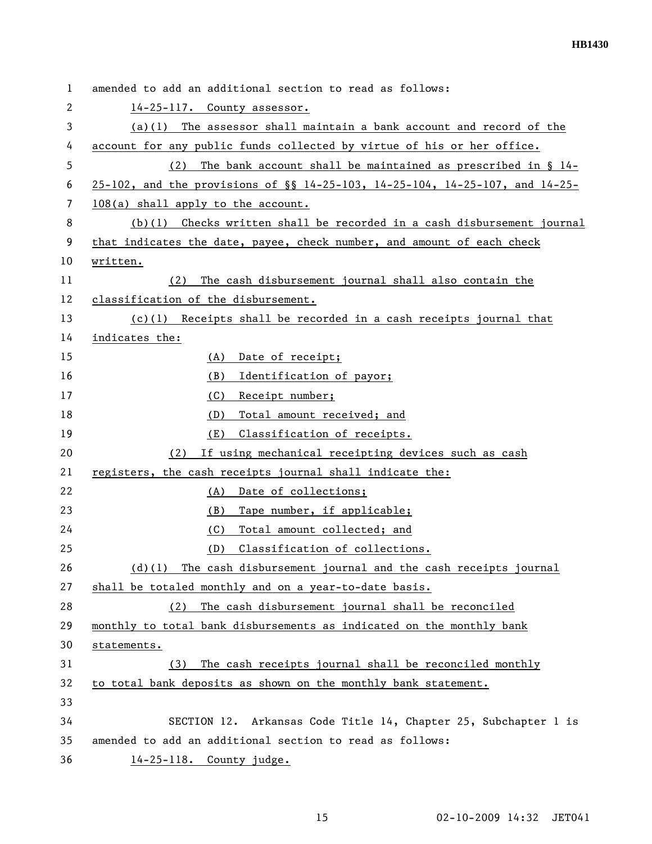| $\mathbf{1}$ | amended to add an additional section to read as follows:                        |
|--------------|---------------------------------------------------------------------------------|
| 2            | 14-25-117. County assessor.                                                     |
| 3            | $(a)(1)$ The assessor shall maintain a bank account and record of the           |
| 4            | account for any public funds collected by virtue of his or her office.          |
| 5            | The bank account shall be maintained as prescribed in $\S$ 14-<br>(2)           |
| 6            | $25-102$ , and the provisions of §§ 14-25-103, 14-25-104, 14-25-107, and 14-25- |
| 7            | 108(a) shall apply to the account.                                              |
| 8            | $(b)(1)$ Checks written shall be recorded in a cash disbursement journal        |
| 9            | that indicates the date, payee, check number, and amount of each check          |
| 10           | written.                                                                        |
| 11           | (2)<br>The cash disbursement journal shall also contain the                     |
| 12           | classification of the disbursement.                                             |
| 13           | $(c)(1)$ Receipts shall be recorded in a cash receipts journal that             |
| 14           | indicates the:                                                                  |
| 15           | (A)<br>Date of receipt;                                                         |
| 16           | (B)<br>Identification of payor;                                                 |
| 17           | (C)<br>Receipt number;                                                          |
| 18           | Total amount received; and<br>(D)                                               |
| 19           | Classification of receipts.<br>(E)                                              |
| 20           | (2)<br>If using mechanical receipting devices such as cash                      |
| 21           | registers, the cash receipts journal shall indicate the:                        |
| 22           | Date of collections;<br>(A)                                                     |
| 23           | (B)<br>Tape number, if applicable;                                              |
| 24           | (C)<br>Total amount collected; and                                              |
| 25           | Classification of collections.<br>(D)                                           |
| 26           | The cash disbursement journal and the cash receipts journal<br>$(d)$ (1)        |
| 27           | shall be totaled monthly and on a year-to-date basis.                           |
| 28           | The cash disbursement journal shall be reconciled<br>(2)                        |
| 29           | monthly to total bank disbursements as indicated on the monthly bank            |
| 30           | statements.                                                                     |
| 31           | The cash receipts journal shall be reconciled monthly<br>(3)                    |
| 32           | to total bank deposits as shown on the monthly bank statement.                  |
| 33           |                                                                                 |
| 34           | SECTION 12. Arkansas Code Title 14, Chapter 25, Subchapter 1 is                 |
| 35           | amended to add an additional section to read as follows:                        |
| 36           | 14-25-118. County judge.                                                        |